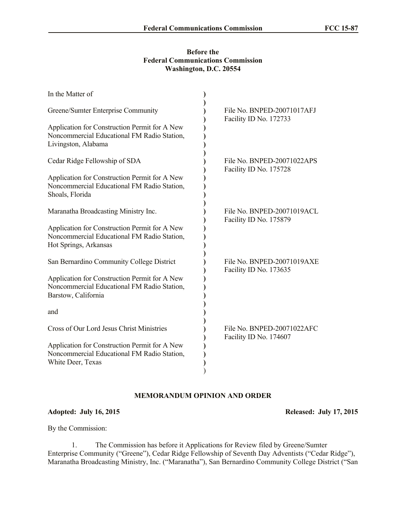## **Before the Federal Communications Commission Washington, D.C. 20554**

| In the Matter of                                                                                                      |                                                      |
|-----------------------------------------------------------------------------------------------------------------------|------------------------------------------------------|
| Greene/Sumter Enterprise Community                                                                                    | File No. BNPED-20071017AFJ<br>Facility ID No. 172733 |
| Application for Construction Permit for A New<br>Noncommercial Educational FM Radio Station,<br>Livingston, Alabama   |                                                      |
| Cedar Ridge Fellowship of SDA                                                                                         | File No. BNPED-20071022APS<br>Facility ID No. 175728 |
| Application for Construction Permit for A New<br>Noncommercial Educational FM Radio Station,<br>Shoals, Florida       |                                                      |
| Maranatha Broadcasting Ministry Inc.                                                                                  | File No. BNPED-20071019ACL<br>Facility ID No. 175879 |
| Application for Construction Permit for A New<br>Noncommercial Educational FM Radio Station,<br>Hot Springs, Arkansas |                                                      |
| San Bernardino Community College District                                                                             | File No. BNPED-20071019AXE<br>Facility ID No. 173635 |
| Application for Construction Permit for A New<br>Noncommercial Educational FM Radio Station,<br>Barstow, California   |                                                      |
| and                                                                                                                   |                                                      |
| Cross of Our Lord Jesus Christ Ministries                                                                             | File No. BNPED-20071022AFC                           |
| Application for Construction Permit for A New<br>Noncommercial Educational FM Radio Station,<br>White Deer, Texas     |                                                      |
|                                                                                                                       | Facility ID No. 174607                               |

## **MEMORANDUM OPINION AND ORDER**

## **Adopted: July 16, 2015 Released: July 17, 2015**

By the Commission:

1. The Commission has before it Applications for Review filed by Greene/Sumter Enterprise Community ("Greene"), Cedar Ridge Fellowship of Seventh Day Adventists ("Cedar Ridge"), Maranatha Broadcasting Ministry, Inc. ("Maranatha"), San Bernardino Community College District ("San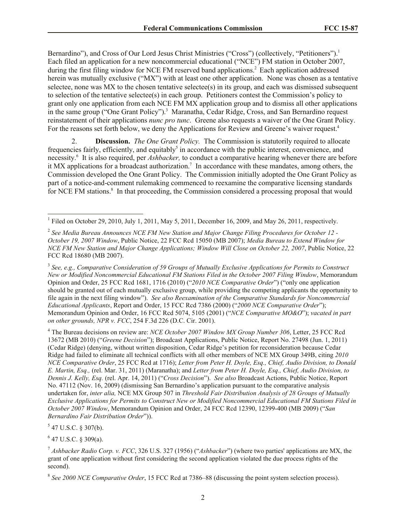Bernardino"), and Cross of Our Lord Jesus Christ Ministries ("Cross") (collectively, "Petitioners").<sup>1</sup> Each filed an application for a new noncommercial educational ("NCE") FM station in October 2007, during the first filing window for NCE FM reserved band applications.<sup>2</sup> Each application addressed herein was mutually exclusive ("MX") with at least one other application. None was chosen as a tentative selectee, none was MX to the chosen tentative selectee(s) in its group, and each was dismissed subsequent to selection of the tentative selectee(s) in each group. Petitioners contest the Commission's policy to grant only one application from each NCE FM MX application group and to dismiss all other applications in the same group ("One Grant Policy").<sup>3</sup> Maranatha, Cedar Ridge, Cross, and San Bernardino request reinstatement of their applications *nunc pro tunc*. Greene also requests a waiver of the One Grant Policy. For the reasons set forth below, we deny the Applications for Review and Greene's waiver request.<sup>4</sup>

2. **Discussion.** *The One Grant Policy.* The Commission is statutorily required to allocate frequencies fairly, efficiently, and equitably<sup>5</sup> in accordance with the public interest, convenience, and necessity.<sup>6</sup> It is also required, per *Ashbacker,* to conduct a comparative hearing whenever there are before it MX applications for a broadcast authorization.<sup>7</sup> In accordance with these mandates, among others, the Commission developed the One Grant Policy. The Commission initially adopted the One Grant Policy as part of a notice-and-comment rulemaking commenced to reexamine the comparative licensing standards for NCE FM stations.<sup>8</sup> In that proceeding, the Commission considered a processing proposal that would

<sup>3</sup> See, e.g., Comparative Consideration of 59 Groups of Mutually Exclusive Applications for Permits to Construct *New or Modified Noncommercial Educational FM Stations Filed in the October 2007 Filing Window*, Memorandum Opinion and Order, 25 FCC Rcd 1681, 1716 (2010) ("*2010 NCE Comparative Order*") ("only one application should be granted out of each mutually exclusive group, while providing the competing applicants the opportunity to file again in the next filing window"). *See also Reexamination of the Comparative Standards for Noncommercial Educational Applicants*, Report and Order, 15 FCC Rcd 7386 (2000) ("*2000 NCE Comparative Order*"); Memorandum Opinion and Order, 16 FCC Rcd 5074, 5105 (2001) ("*NCE Comparative MO&O*"); *vacated in part on other grounds, NPR v. FCC*, 254 F.3d 226 (D.C. Cir. 2001).

<sup>4</sup> The Bureau decisions on review are: *NCE October 2007 Window MX Group Number 306*, Letter, 25 FCC Rcd 13672 (MB 2010) ("*Greene Decision*"); Broadcast Applications, Public Notice, Report No. 27498 (Jun. 1, 2011) (Cedar Ridge) (denying, without written disposition, Cedar Ridge's petition for reconsideration because Cedar Ridge had failed to eliminate all technical conflicts with all other members of NCE MX Group 349B, citing *2010 NCE Comparative Order*, 25 FCC Rcd at 1716); *Letter from Peter H. Doyle, Esq., Chief, Audio Division, to Donald E. Martin, Esq.,* (rel. Mar. 31, 2011) (Maranatha); and *Letter from Peter H. Doyle, Esq., Chief, Audio Division, to Dennis J. Kelly, Esq.* (rel. Apr. 14, 2011) ("*Cross Decision*"). *See also* Broadcast Actions, Public Notice, Report No. 47112 (Nov. 16, 2009) (dismissing San Bernardino's application pursuant to the comparative analysis undertaken for, *inter alia,* NCE MX Group 507 in *Threshold Fair Distribution Analysis of 28 Groups of Mutually Exclusive Applications for Permits to Construct New or Modified Noncommercial Educational FM Stations Filed in October 2007 Window*, Memorandum Opinion and Order, 24 FCC Rcd 12390, 12399-400 (MB 2009) ("*San Bernardino Fair Distribution Order*")).

 $5$  47 U.S.C. § 307(b).

 $6$  47 U.S.C. § 309(a).

<sup>&</sup>lt;sup>1</sup> Filed on October 29, 2010, July 1, 2011, May 5, 2011, December 16, 2009, and May 26, 2011, respectively.

<sup>2</sup> *See Media Bureau Announces NCE FM New Station and Major Change Filing Procedures for October 12 - October 19, 2007 Window*, Public Notice, 22 FCC Rcd 15050 (MB 2007); *Media Bureau to Extend Window for NCE FM New Station and Major Change Applications; Window Will Close on October 22, 2007*, Public Notice, 22 FCC Rcd 18680 (MB 2007).

<sup>7</sup> *Ashbacker Radio Corp. v. FCC*, 326 U.S. 327 (1956) ("*Ashbacker*") (where two parties' applications are MX, the grant of one application without first considering the second application violated the due process rights of the second).

<sup>8</sup> *See 2000 NCE Comparative Order*, 15 FCC Rcd at 7386–88 (discussing the point system selection process).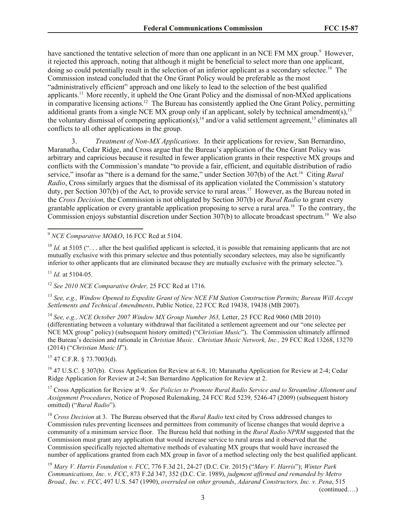have sanctioned the tentative selection of more than one applicant in an NCE FM MX group.<sup>9</sup> However, it rejected this approach, noting that although it might be beneficial to select more than one applicant, doing so could potentially result in the selection of an inferior applicant as a secondary selectee.<sup>10</sup> The Commission instead concluded that the One Grant Policy would be preferable as the most "administratively efficient" approach and one likely to lead to the selection of the best qualified applicants.<sup>11</sup> More recently, it upheld the One Grant Policy and the dismissal of non-MXed applications in comparative licensing actions.<sup>12</sup> The Bureau has consistently applied the One Grant Policy, permitting additional grants from a single NCE MX group only if an applicant, solely by technical amendment(s),  $^{13}$ the voluntary dismissal of competing application(s),<sup>14</sup> and/or a valid settlement agreement,<sup>15</sup> eliminates all conflicts to all other applications in the group.

3. *Treatment of Non-MX Applications.*In their applications for review, San Bernardino, Maranatha, Cedar Ridge, and Cross argue that the Bureau's application of the One Grant Policy was arbitrary and capricious because it resulted in fewer application grants in their respective MX groups and conflicts with the Commission's mandate "to provide a fair, efficient, and equitable distribution of radio service," insofar as "there is a demand for the same," under Section 307(b) of the Act.<sup>16</sup> Citing *Rural Radio*, Cross similarly argues that the dismissal of its application violated the Commission's statutory duty, per Section 307(b) of the Act, to provide service to rural areas.<sup>17</sup> However, as the Bureau noted in the *Cross Decision,* the Commission is not obligated by Section 307(b) or *Rural Radio* to grant every grantable application or every grantable application proposing to serve a rural area.<sup>18</sup> To the contrary, the Commission enjoys substantial discretion under Section 307(b) to allocate broadcast spectrum.<sup>19</sup> We also

<sup>10</sup> *Id.* at 5105 ("... after the best qualified applicant is selected, it is possible that remaining applicants that are not mutually exclusive with this primary selectee and thus potentially secondary selectees, may also be significantly inferior to other applicants that are eliminated because they are mutually exclusive with the primary selectee.").

 $11$  *Id.* at 5104-05.

 $\overline{\phantom{a}}$ 

<sup>12</sup> *See 2010 NCE Comparative Order,* 25 FCC Rcd at 1716*.*

<sup>13</sup> *See, e.g., Window Opened to Expedite Grant of New NCE FM Station Construction Permits; Bureau Will Accept Settlements and Technical Amendments*, Public Notice, 22 FCC Rcd 19438, 19438 (MB 2007).

<sup>14</sup> See, e.g., NCE October 2007 Window MX Group Number 363, Letter, 25 FCC Rcd 9060 (MB 2010) (differentiating between a voluntary withdrawal that facilitated a settlement agreement and our "one selectee per NCE MX group" policy) (subsequent history omitted) ("*Christian Music*"). The Commission ultimately affirmed the Bureau's decision and rationale in *Christian Music*. *Christian Music Network, Inc.,* 29 FCC Rcd 13268, 13270 (2014) ("*Christian Music II*").

 $15$  47 C.F.R. § 73.7003(d).

<sup>16</sup> 47 U.S.C. § 307(b). Cross Application for Review at 6-8, 10; Maranatha Application for Review at 2-4; Cedar Ridge Application for Review at 2-4; San Bernardino Application for Review at 2.

<sup>17</sup> Cross Application for Review at 9. *See Policies to Promote Rural Radio Service and to Streamline Allotment and Assignment Procedures*, Notice of Proposed Rulemaking, 24 FCC Rcd 5239, 5246-47 (2009) (subsequent history omitted) ("*Rural Radio*").

<sup>18</sup> *Cross Decision* at 3. The Bureau observed that the *Rural Radio* text cited by Cross addressed changes to Commission rules preventing licensees and permittees from community of license changes that would deprive a community of a minimum service floor. The Bureau held that nothing in the *Rural Radio NPRM* suggested that the Commission must grant any application that would increase service to rural areas and it observed that the Commission specifically rejected alternative methods of evaluating MX groups that would have increased the number of applications granted from each MX group in favor of a method selecting only the best qualified applicant.

<sup>19</sup> *Mary V. Harris Foundation v. FCC*, 776 F.3d 21, 24-27 (D.C. Cir. 2015) ("*Mary V. Harris*"); *Winter Park Communications, Inc. v. FCC*, 873 F.2d 347, 352 (D.C. Cir. 1989), *judgment affirmed and remanded by Metro Broad., Inc. v. FCC*, 497 U.S. 547 (1990), *overruled on other grounds*, *Adarand Constructors, Inc. v. Pena*, 515

(continued….)

<sup>9</sup> *NCE Comparative MO&O*, 16 FCC Rcd at 5104.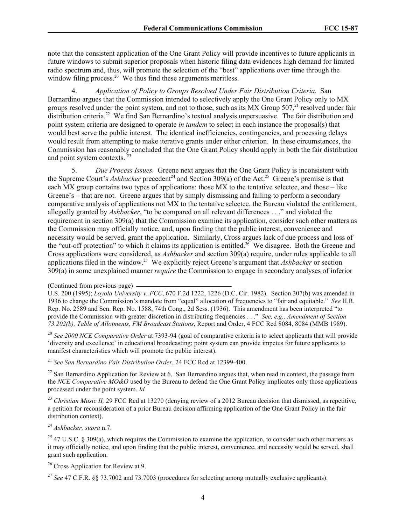note that the consistent application of the One Grant Policy will provide incentives to future applicants in future windows to submit superior proposals when historic filing data evidences high demand for limited radio spectrum and, thus, will promote the selection of the "best" applications over time through the window filing process.<sup>20</sup> We thus find these arguments meritless.

4. *Application of Policy to Groups Resolved Under Fair Distribution Criteria.*San Bernardino argues that the Commission intended to selectively apply the One Grant Policy only to MX groups resolved under the point system, and not to those, such as its MX Group  $507<sup>21</sup>$  resolved under fair distribution criteria.<sup>22</sup> We find San Bernardino's textual analysis unpersuasive. The fair distribution and point system criteria are designed to operate *in tandem* to select in each instance the proposal(s) that would best serve the public interest. The identical inefficiencies, contingencies, and processing delays would result from attempting to make iterative grants under either criterion. In these circumstances, the Commission has reasonably concluded that the One Grant Policy should apply in both the fair distribution and point system contexts.<sup>23</sup>

5. *Due Process Issues.*Greene next argues that the One Grant Policy is inconsistent with the Supreme Court's *Ashbacker* precedent<sup>24</sup> and Section 309(a) of the Act.<sup>25</sup> Greene's premise is that each MX group contains two types of applications: those MX to the tentative selectee, and those – like Greene's – that are not. Greene argues that by simply dismissing and failing to perform a secondary comparative analysis of applications not MX to the tentative selectee, the Bureau violated the entitlement, allegedly granted by *Ashbacker*, "to be compared on all relevant differences . . ." and violated the requirement in section 309(a) that the Commission examine its application, consider such other matters as the Commission may officially notice, and, upon finding that the public interest, convenience and necessity would be served, grant the application. Similarly, Cross argues lack of due process and loss of the "cut-off protection" to which it claims its application is entitled.<sup>26</sup> We disagree. Both the Greene and Cross applications were considered, as *Ashbacker* and section 309(a) require, under rules applicable to all applications filed in the window.<sup>27</sup> We explicitly reject Greene's argument that *Ashbacker* or section 309(a) in some unexplained manner *require* the Commission to engage in secondary analyses of inferior

<sup>20</sup> *See 2000 NCE Comparative Order* at 7393-94 (goal of comparative criteria is to select applicants that will provide 'diversity and excellence' in educational broadcasting; point system can provide impetus for future applicants to manifest characteristics which will promote the public interest).

<sup>21</sup> *See San Bernardino Fair Distribution Order*, 24 FCC Rcd at 12399-400.

 $^{22}$  San Bernardino Application for Review at 6. San Bernardino argues that, when read in context, the passage from the *NCE Comparative MO&O* used by the Bureau to defend the One Grant Policy implicates only those applications processed under the point system. *Id.*

<sup>23</sup> *Christian Music II,* 29 FCC Rcd at 13270 (denying review of a 2012 Bureau decision that dismissed, as repetitive, a petition for reconsideration of a prior Bureau decision affirming application of the One Grant Policy in the fair distribution context).

<sup>24</sup> *Ashbacker, supra* n.7.

<sup>25</sup> 47 U.S.C. § 309(a), which requires the Commission to examine the application, to consider such other matters as it may officially notice, and upon finding that the public interest, convenience, and necessity would be served, shall grant such application.

<sup>26</sup> Cross Application for Review at 9.

<sup>27</sup> *See* 47 C.F.R. §§ 73.7002 and 73.7003 (procedures for selecting among mutually exclusive applicants).

<sup>(</sup>Continued from previous page)

U.S. 200 (1995); *Loyola University v. FCC*, 670 F.2d 1222, 1226 (D.C. Cir. 1982). Section 307(b) was amended in 1936 to change the Commission's mandate from "equal" allocation of frequencies to "fair and equitable." *See* H.R. Rep. No. 2589 and Sen. Rep. No. 1588, 74th Cong., 2d Sess. (1936). This amendment has been interpreted "to provide the Commission with greater discretion in distributing frequencies . . ." *See, e.g., Amendment of Section 73.202(b), Table of Allotments, FM Broadcast Stations*, Report and Order, 4 FCC Rcd 8084, 8084 (MMB 1989).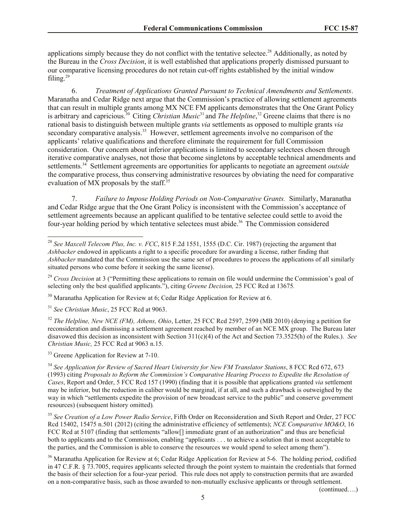applications simply because they do not conflict with the tentative selectee.<sup>28</sup> Additionally, as noted by the Bureau in the *Cross Decision*, it is well established that applications properly dismissed pursuant to our comparative licensing procedures do not retain cut-off rights established by the initial window filing. $29$ 

6. *Treatment of Applications Granted Pursuant to Technical Amendments and Settlements*. Maranatha and Cedar Ridge next argue that the Commission's practice of allowing settlement agreements that can result in multiple grants among MX NCE FM applicants demonstrates that the One Grant Policy is arbitrary and capricious.<sup>30</sup> Citing *Christian Music*<sup>31</sup> and *The Helpline*, <sup>32</sup> Greene claims that there is no rational basis to distinguish between multiple grants *via* settlements as opposed to multiple grants *via*  secondary comparative analysis.<sup>33</sup> However, settlement agreements involve no comparison of the applicants' relative qualifications and therefore eliminate the requirement for full Commission consideration. Our concern about inferior applications is limited to secondary selectees chosen through iterative comparative analyses, not those that become singletons by acceptable technical amendments and settlements.<sup>34</sup> Settlement agreements are opportunities for applicants to negotiate an agreement *outside* the comparative process, thus conserving administrative resources by obviating the need for comparative evaluation of MX proposals by the staff.<sup>35</sup>

7. *Failure to Impose Holding Periods on Non-Comparative Grants.*Similarly, Maranatha and Cedar Ridge argue that the One Grant Policy is inconsistent with the Commission's acceptance of settlement agreements because an applicant qualified to be tentative selectee could settle to avoid the four-year holding period by which tentative selectees must abide.<sup>36</sup> The Commission considered

<sup>30</sup> Maranatha Application for Review at 6; Cedar Ridge Application for Review at 6.

<sup>31</sup> *See Christian Music*, 25 FCC Rcd at 9063.

 $\overline{\phantom{a}}$ 

<sup>32</sup> *The Helpline, New NCE (FM), Athens, Ohio*, Letter, 25 FCC Rcd 2597, 2599 (MB 2010) (denying a petition for reconsideration and dismissing a settlement agreement reached by member of an NCE MX group. The Bureau later disavowed this decision as inconsistent with Section 311(c)(4) of the Act and Section 73.3525(h) of the Rules.). *See Christian Music,* 25 FCC Rcd at 9063 n.15.

<sup>33</sup> Greene Application for Review at 7-10.

<sup>34</sup> *See Application for Review of Sacred Heart University for New FM Translator Stations*, 8 FCC Rcd 672, 673 (1993) citing *Proposals to Reform the Commission's Comparative Hearing Process to Expedite the Resolution of Cases*, Report and Order, 5 FCC Rcd 157 (1990) (finding that it is possible that applications granted *via* settlement may be inferior, but the reduction in caliber would be marginal, if at all, and such a drawback is outweighed by the way in which "settlements expedite the provision of new broadcast service to the public" and conserve government resources) (subsequent history omitted)*.*

<sup>35</sup> *See Creation of a Low Power Radio Service*, Fifth Order on Reconsideration and Sixth Report and Order, 27 FCC Rcd 15402, 15475 n.501 (2012) (citing the administrative efficiency of settlements); *NCE Comparative MO&O*, 16 FCC Rcd at 5107 (finding that settlements "allow<sup>[]</sup> immediate grant of an authorization" and thus are beneficial both to applicants and to the Commission, enabling "applicants . . . to achieve a solution that is most acceptable to the parties, and the Commission is able to conserve the resources we would spend to select among them").

<sup>36</sup> Maranatha Application for Review at 6; Cedar Ridge Application for Review at 5-6. The holding period, codified in 47 C.F.R. § 73.7005, requires applicants selected through the point system to maintain the credentials that formed the basis of their selection for a four-year period. This rule does not apply to construction permits that are awarded on a non-comparative basis, such as those awarded to non-mutually exclusive applicants or through settlement.

(continued….)

<sup>28</sup> *See Maxcell Telecom Plus, Inc. v. FCC*, 815 F.2d 1551, 1555 (D.C. Cir. 1987) (rejecting the argument that *Ashbacker* endowed in applicants a right to a specific procedure for awarding a license, rather finding that *Ashbacker* mandated that the Commission use the same set of procedures to process the applications of all similarly situated persons who come before it seeking the same license).

<sup>&</sup>lt;sup>29</sup> *Cross Decision* at 3 ("Permitting these applications to remain on file would undermine the Commission's goal of selecting only the best qualified applicants."), citing *Greene Decision,* 25 FCC Rcd at 13675*.*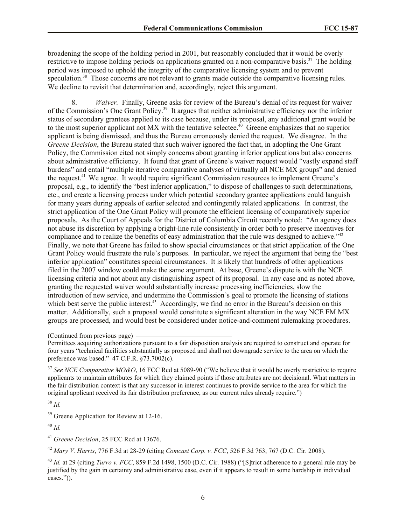broadening the scope of the holding period in 2001, but reasonably concluded that it would be overly restrictive to impose holding periods on applications granted on a non-comparative basis.<sup>37</sup> The holding period was imposed to uphold the integrity of the comparative licensing system and to prevent speculation.<sup>38</sup> Those concerns are not relevant to grants made outside the comparative licensing rules. We decline to revisit that determination and, accordingly, reject this argument.

8. *Waiver.* Finally, Greene asks for review of the Bureau's denial of its request for waiver of the Commission's One Grant Policy.<sup>39</sup> It argues that neither administrative efficiency nor the inferior status of secondary grantees applied to its case because, under its proposal, any additional grant would be to the most superior applicant not MX with the tentative selectee.<sup>40</sup> Greene emphasizes that no superior applicant is being dismissed, and thus the Bureau erroneously denied the request. We disagree. In the *Greene Decision*, the Bureau stated that such waiver ignored the fact that, in adopting the One Grant Policy, the Commission cited not simply concerns about granting inferior applications but also concerns about administrative efficiency. It found that grant of Greene's waiver request would "vastly expand staff burdens" and entail "multiple iterative comparative analyses of virtually all NCE MX groups" and denied the request.<sup>41</sup> We agree. It would require significant Commission resources to implement Greene's proposal, e.g., to identify the "best inferior application," to dispose of challenges to such determinations, etc., and create a licensing process under which potential secondary grantee applications could languish for many years during appeals of earlier selected and contingently related applications. In contrast, the strict application of the One Grant Policy will promote the efficient licensing of comparatively superior proposals. As the Court of Appeals for the District of Columbia Circuit recently noted: "An agency does not abuse its discretion by applying a bright-line rule consistently in order both to preserve incentives for compliance and to realize the benefits of easy administration that the rule was designed to achieve." $42$ Finally, we note that Greene has failed to show special circumstances or that strict application of the One Grant Policy would frustrate the rule's purposes. In particular, we reject the argument that being the "best inferior application" constitutes special circumstances. It is likely that hundreds of other applications filed in the 2007 window could make the same argument. At base, Greene's dispute is with the NCE licensing criteria and not about any distinguishing aspect of its proposal. In any case and as noted above, granting the requested waiver would substantially increase processing inefficiencies, slow the introduction of new service, and undermine the Commission's goal to promote the licensing of stations which best serve the public interest.<sup>43</sup> Accordingly, we find no error in the Bureau's decision on this matter. Additionally, such a proposal would constitute a significant alteration in the way NCE FM MX groups are processed, and would best be considered under notice-and-comment rulemaking procedures.

(Continued from previous page)

Permittees acquiring authorizations pursuant to a fair disposition analysis are required to construct and operate for four years "technical facilities substantially as proposed and shall not downgrade service to the area on which the preference was based." 47 C.F.R. §73.7002(c).

<sup>37</sup> See NCE Comparative MO&O, 16 FCC Rcd at 5089-90 ("We believe that it would be overly restrictive to require applicants to maintain attributes for which they claimed points if those attributes are not decisional. What matters in the fair distribution context is that any successor in interest continues to provide service to the area for which the original applicant received its fair distribution preference, as our current rules already require.")

<sup>38</sup> *Id.*

<sup>39</sup> Greene Application for Review at 12-16.

<sup>40</sup> *Id.*

<sup>41</sup> *Greene Decision*, 25 FCC Rcd at 13676.

<sup>42</sup> *Mary V. Harris*, 776 F.3d at 28-29 (citing *Comcast Corp. v. FCC*, 526 F.3d 763, 767 (D.C. Cir. 2008).

<sup>43</sup> *Id.* at 29 (citing *Turro v. FCC*, 859 F.2d 1498, 1500 (D.C. Cir. 1988) ("[S]trict adherence to a general rule may be justified by the gain in certainty and administrative ease, even if it appears to result in some hardship in individual cases.")).